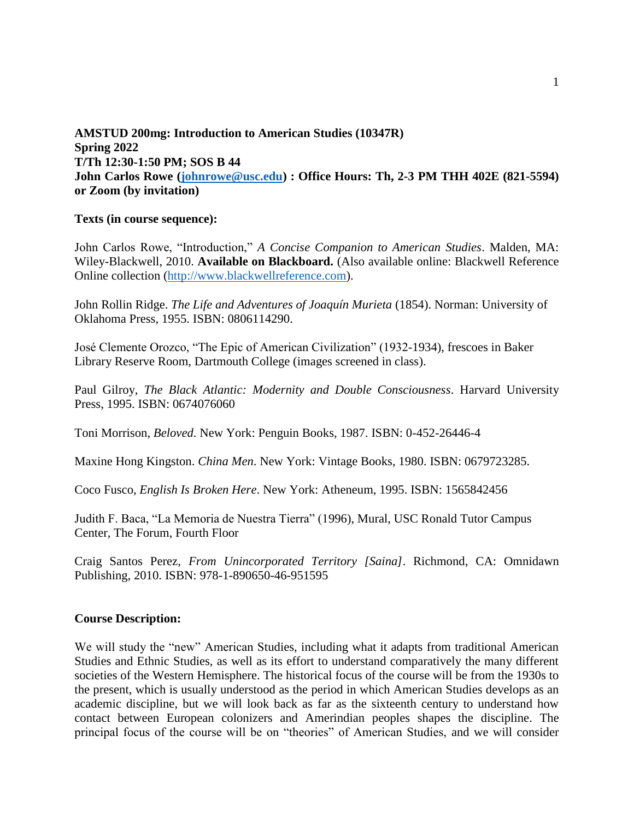# **AMSTUD 200mg: Introduction to American Studies (10347R) Spring 2022 T/Th 12:30-1:50 PM; SOS B 44 John Carlos Rowe [\(johnrowe@usc.edu\)](mailto:johnrowe@usc.edu) : Office Hours: Th, 2-3 PM THH 402E (821-5594) or Zoom (by invitation)**

# **Texts (in course sequence):**

John Carlos Rowe, "Introduction," *A Concise Companion to American Studies*. Malden, MA: Wiley-Blackwell, 2010. **Available on Blackboard.** (Also available online: Blackwell Reference Online collection [\(http://www.blackwellreference.com\)](http://www.blackwellreference.com/).

John Rollin Ridge. *The Life and Adventures of Joaquín Murieta* (1854). Norman: University of Oklahoma Press, 1955. ISBN: 0806114290.

José Clemente Orozco, "The Epic of American Civilization" (1932-1934), frescoes in Baker Library Reserve Room, Dartmouth College (images screened in class).

Paul Gilroy, *The Black Atlantic: Modernity and Double Consciousness*. Harvard University Press, 1995. ISBN: 0674076060

Toni Morrison, *Beloved*. New York: Penguin Books, 1987. ISBN: 0-452-26446-4

Maxine Hong Kingston. *China Men*. New York: Vintage Books, 1980. ISBN: 0679723285.

Coco Fusco, *English Is Broken Here*. New York: Atheneum, 1995. ISBN: 1565842456

Judith F. Baca, "La Memoria de Nuestra Tierra" (1996), Mural, USC Ronald Tutor Campus Center, The Forum, Fourth Floor

Craig Santos Perez, *From Unincorporated Territory [Saina]*. Richmond, CA: Omnidawn Publishing, 2010. ISBN: 978-1-890650-46-951595

## **Course Description:**

We will study the "new" American Studies, including what it adapts from traditional American Studies and Ethnic Studies, as well as its effort to understand comparatively the many different societies of the Western Hemisphere. The historical focus of the course will be from the 1930s to the present, which is usually understood as the period in which American Studies develops as an academic discipline, but we will look back as far as the sixteenth century to understand how contact between European colonizers and Amerindian peoples shapes the discipline. The principal focus of the course will be on "theories" of American Studies, and we will consider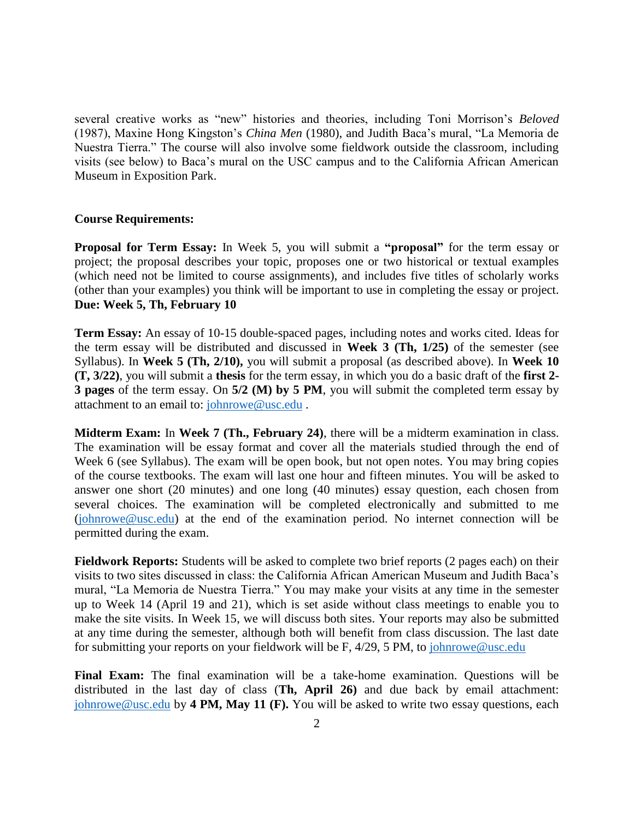several creative works as "new" histories and theories, including Toni Morrison's *Beloved* (1987), Maxine Hong Kingston's *China Men* (1980), and Judith Baca's mural, "La Memoria de Nuestra Tierra." The course will also involve some fieldwork outside the classroom, including visits (see below) to Baca's mural on the USC campus and to the California African American Museum in Exposition Park.

#### **Course Requirements:**

**Proposal for Term Essay:** In Week 5, you will submit a **"proposal"** for the term essay or project; the proposal describes your topic, proposes one or two historical or textual examples (which need not be limited to course assignments), and includes five titles of scholarly works (other than your examples) you think will be important to use in completing the essay or project. **Due: Week 5, Th, February 10**

**Term Essay:** An essay of 10-15 double-spaced pages, including notes and works cited. Ideas for the term essay will be distributed and discussed in **Week 3 (Th, 1/25)** of the semester (see Syllabus). In **Week 5 (Th, 2/10),** you will submit a proposal (as described above). In **Week 10 (T, 3/22)**, you will submit a **thesis** for the term essay, in which you do a basic draft of the **first 2- 3 pages** of the term essay. On **5/2 (M) by 5 PM**, you will submit the completed term essay by attachment to an email to: [johnrowe@usc.edu](mailto:johnrowe@usc.edu) .

**Midterm Exam:** In **Week 7 (Th., February 24)**, there will be a midterm examination in class. The examination will be essay format and cover all the materials studied through the end of Week 6 (see Syllabus). The exam will be open book, but not open notes. You may bring copies of the course textbooks. The exam will last one hour and fifteen minutes. You will be asked to answer one short (20 minutes) and one long (40 minutes) essay question, each chosen from several choices. The examination will be completed electronically and submitted to me [\(johnrowe@usc.edu\)](mailto:johnrowe@usc.edu) at the end of the examination period. No internet connection will be permitted during the exam.

**Fieldwork Reports:** Students will be asked to complete two brief reports (2 pages each) on their visits to two sites discussed in class: the California African American Museum and Judith Baca's mural, "La Memoria de Nuestra Tierra." You may make your visits at any time in the semester up to Week 14 (April 19 and 21), which is set aside without class meetings to enable you to make the site visits. In Week 15, we will discuss both sites. Your reports may also be submitted at any time during the semester, although both will benefit from class discussion. The last date for submitting your reports on your fieldwork will be F, 4/29, 5 PM, to [johnrowe@usc.edu](mailto:johnrowe@usc.edu)

**Final Exam:** The final examination will be a take-home examination. Questions will be distributed in the last day of class (**Th, April 26)** and due back by email attachment: [johnrowe@usc.edu](mailto:johnrowe@usc.edu) by **4 PM, May 11 (F).** You will be asked to write two essay questions, each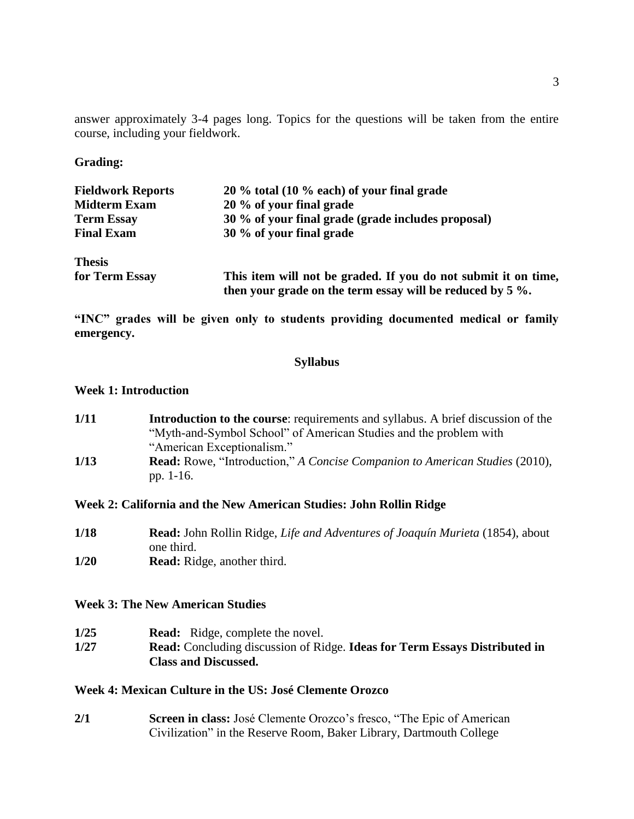answer approximately 3-4 pages long. Topics for the questions will be taken from the entire course, including your fieldwork.

# **Grading:**

| <b>Fieldwork Reports</b> | $20\%$ total (10 % each) of your final grade                                                                                   |
|--------------------------|--------------------------------------------------------------------------------------------------------------------------------|
| <b>Midterm Exam</b>      | 20 % of your final grade                                                                                                       |
| <b>Term Essay</b>        | 30 % of your final grade (grade includes proposal)                                                                             |
| <b>Final Exam</b>        | 30 % of your final grade                                                                                                       |
| <b>Thesis</b>            |                                                                                                                                |
| for Term Essay           | This item will not be graded. If you do not submit it on time,<br>then your grade on the term essay will be reduced by $5\%$ . |

**"INC" grades will be given only to students providing documented medical or family emergency.** 

# **Syllabus**

#### **Week 1: Introduction**

| 1/11 | <b>Introduction to the course:</b> requirements and syllabus. A brief discussion of the |
|------|-----------------------------------------------------------------------------------------|
|      | "Myth-and-Symbol School" of American Studies and the problem with                       |
|      | "American Exceptionalism."                                                              |
| 1/13 | <b>Read:</b> Rowe, "Introduction," A Concise Companion to American Studies (2010),      |
|      | pp. 1-16.                                                                               |

## **Week 2: California and the New American Studies: John Rollin Ridge**

**1/18 Read:** John Rollin Ridge, *Life and Adventures of Joaquín Murieta* (1854), about one third. **1/20 Read:** Ridge, another third.

## **Week 3: The New American Studies**

**1/25 Read:** Ridge, complete the novel. **1/27 Read:** Concluding discussion of Ridge. **Ideas for Term Essays Distributed in Class and Discussed.**

# **Week 4: Mexican Culture in the US: José Clemente Orozco**

**2/1 Screen in class:** José Clemente Orozco's fresco, "The Epic of American Civilization" in the Reserve Room, Baker Library, Dartmouth College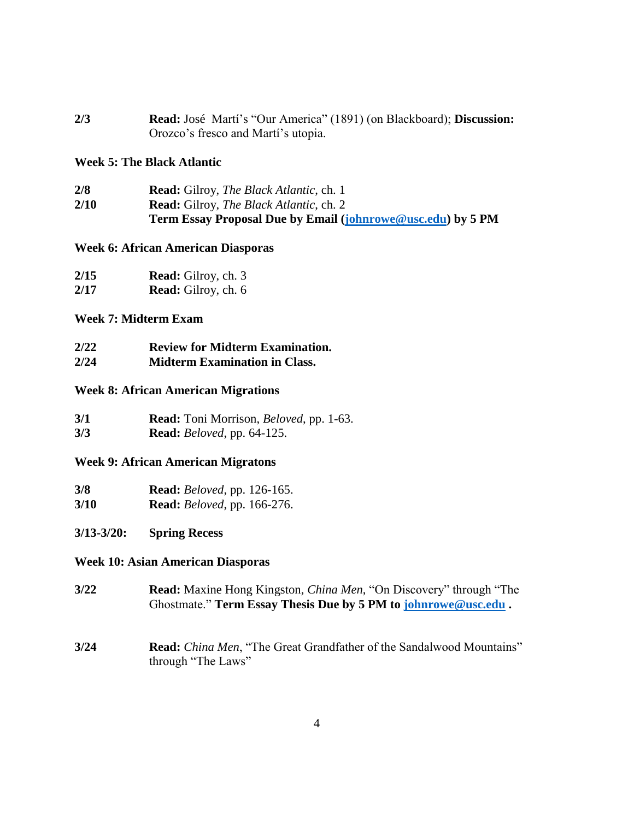| 2/3 | <b>Read:</b> José Martí's "Our America" (1891) (on Blackboard); <b>Discussion:</b> |
|-----|------------------------------------------------------------------------------------|
|     | Orozco's fresco and Martí's utopia.                                                |

### **Week 5: The Black Atlantic**

**2/8 Read:** Gilroy, *The Black Atlantic*, ch. 1 **2/10 Read:** Gilroy, *The Black Atlantic*, ch. 2 **Term Essay Proposal Due by Email [\(johnrowe@usc.edu\)](mailto:johnrowe@usc.edu) by 5 PM**

#### **Week 6: African American Diasporas**

| 2/15 | <b>Read:</b> Gilroy, ch. 3 |
|------|----------------------------|
| 2/17 | <b>Read:</b> Gilroy, ch. 6 |

# **Week 7: Midterm Exam**

| 2/22 | <b>Review for Midterm Examination.</b> |
|------|----------------------------------------|
| 2/24 | <b>Midterm Examination in Class.</b>   |

#### **Week 8: African American Migrations**

| 3/1 | <b>Read:</b> Toni Morrison, <i>Beloved</i> , pp. 1-63. |
|-----|--------------------------------------------------------|
| 3/3 | <b>Read:</b> <i>Beloved</i> , pp. 64-125.              |

# **Week 9: African American Migratons**

| 3/8  | <b>Read:</b> <i>Beloved</i> , pp. 126-165. |  |
|------|--------------------------------------------|--|
| 3/10 | <b>Read:</b> <i>Beloved</i> , pp. 166-276. |  |

## **3/13-3/20: Spring Recess**

#### **Week 10: Asian American Diasporas**

- **3/22 Read:** Maxine Hong Kingston, *China Men*, "On Discovery" through "The Ghostmate." **Term Essay Thesis Due by 5 PM to [johnrowe@usc.edu](mailto:johnrowe@usc.edu) .**
- **3/24 Read:** *China Men*, "The Great Grandfather of the Sandalwood Mountains" through "The Laws"